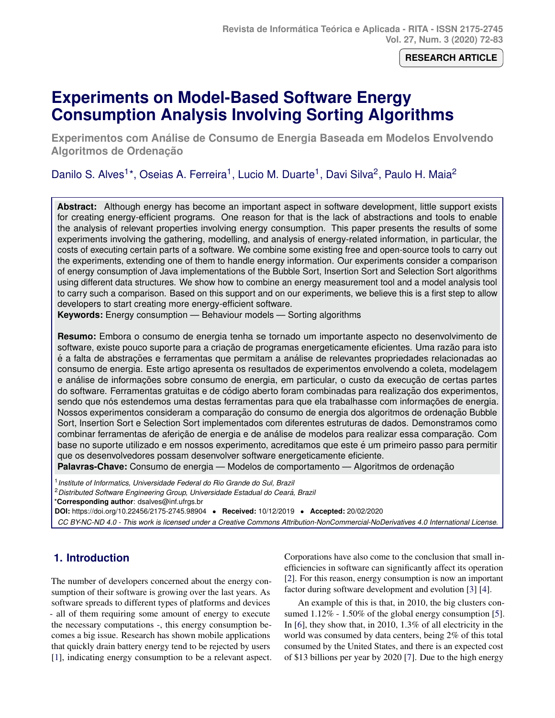**RESEARCH ARTICLE**

# <span id="page-0-0"></span>**Experiments on Model-Based Software Energy Consumption Analysis Involving Sorting Algorithms**

**Experimentos com Analise de Consumo de Energia Baseada em Modelos Envolvendo ´ Algoritmos de Ordenação** 

Danilo S. Alves<sup>1\*</sup>, Oseias A. Ferreira<sup>1</sup>, Lucio M. Duarte<sup>1</sup>, Davi Silva<sup>2</sup>, Paulo H. Maia<sup>2</sup>

**Abstract:** Although energy has become an important aspect in software development, little support exists for creating energy-efficient programs. One reason for that is the lack of abstractions and tools to enable the analysis of relevant properties involving energy consumption. This paper presents the results of some experiments involving the gathering, modelling, and analysis of energy-related information, in particular, the costs of executing certain parts of a software. We combine some existing free and open-source tools to carry out the experiments, extending one of them to handle energy information. Our experiments consider a comparison of energy consumption of Java implementations of the Bubble Sort, Insertion Sort and Selection Sort algorithms using different data structures. We show how to combine an energy measurement tool and a model analysis tool to carry such a comparison. Based on this support and on our experiments, we believe this is a first step to allow developers to start creating more energy-efficient software.

**Keywords:** Energy consumption — Behaviour models — Sorting algorithms

**Resumo:** Embora o consumo de energia tenha se tornado um importante aspecto no desenvolvimento de software, existe pouco suporte para a criação de programas energeticamente eficientes. Uma razão para isto é a falta de abstrações e ferramentas que permitam a análise de relevantes propriedades relacionadas ao consumo de energia. Este artigo apresenta os resultados de experimentos envolvendo a coleta, modelagem e análise de informações sobre consumo de energia, em particular, o custo da execução de certas partes do software. Ferramentas gratuitas e de código aberto foram combinadas para realização dos experimentos, sendo que nós estendemos uma destas ferramentas para que ela trabalhasse com informações de energia. Nossos experimentos consideram a comparação do consumo de energia dos algoritmos de ordenação Bubble Sort, Insertion Sort e Selection Sort implementados com diferentes estruturas de dados. Demonstramos como combinar ferramentas de aferição de energia e de análise de modelos para realizar essa comparação. Com base no suporte utilizado e em nossos experimento, acreditamos que este é um primeiro passo para permitir que os desenvolvedores possam desenvolver software energeticamente eficiente.

**Palavras-Chave:** Consumo de energia — Modelos de comportamento — Algoritmos de ordenação

1 *Institute of Informatics, Universidade Federal do Rio Grande do Sul, Brazil*

<sup>2</sup>*Distributed Software Engineering Group, Universidade Estadual do Ceara, Brazil ´*

\***Corresponding author**: dsalves@inf.ufrgs.br

**DOI:** https://doi.org/10.22456/2175-2745.98904 • **Received:** 10/12/2019 • **Accepted:** 20/02/2020

*CC BY-NC-ND 4.0 - This work is licensed under a Creative Commons Attribution-NonCommercial-NoDerivatives 4.0 International License.*

# **1. Introduction**

The number of developers concerned about the energy consumption of their software is growing over the last years. As software spreads to different types of platforms and devices - all of them requiring some amount of energy to execute the necessary computations -, this energy consumption becomes a big issue. Research has shown mobile applications that quickly drain battery energy tend to be rejected by users [\[1\]](#page-9-0), indicating energy consumption to be a relevant aspect. Corporations have also come to the conclusion that small inefficiencies in software can significantly affect its operation [\[2\]](#page-9-1). For this reason, energy consumption is now an important factor during software development and evolution [\[3\]](#page-9-2) [\[4\]](#page-9-3).

An example of this is that, in 2010, the big clusters con-sumed 1.12% - 1.50% of the global energy consumption [\[5\]](#page-9-4). In [\[6\]](#page-9-5), they show that, in 2010, 1.3% of all electricity in the world was consumed by data centers, being 2% of this total consumed by the United States, and there is an expected cost of \$13 billions per year by 2020 [\[7\]](#page-9-6). Due to the high energy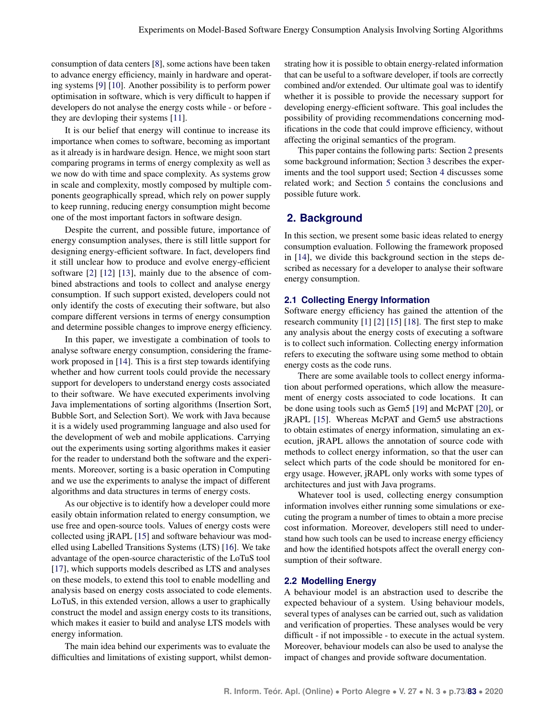consumption of data centers [\[8\]](#page-9-7), some actions have been taken to advance energy efficiency, mainly in hardware and operating systems [\[9\]](#page-9-8) [\[10\]](#page-9-9). Another possibility is to perform power optimisation in software, which is very difficult to happen if developers do not analyse the energy costs while - or before they are devloping their systems [\[11\]](#page-9-10).

It is our belief that energy will continue to increase its importance when comes to software, becoming as important as it already is in hardware design. Hence, we might soon start comparing programs in terms of energy complexity as well as we now do with time and space complexity. As systems grow in scale and complexity, mostly composed by multiple components geographically spread, which rely on power supply to keep running, reducing energy consumption might become one of the most important factors in software design.

Despite the current, and possible future, importance of energy consumption analyses, there is still little support for designing energy-efficient software. In fact, developers find it still unclear how to produce and evolve energy-efficient software [\[2\]](#page-9-1) [\[12\]](#page-9-11) [\[13\]](#page-9-12), mainly due to the absence of combined abstractions and tools to collect and analyse energy consumption. If such support existed, developers could not only identify the costs of executing their software, but also compare different versions in terms of energy consumption and determine possible changes to improve energy efficiency.

In this paper, we investigate a combination of tools to analyse software energy consumption, considering the framework proposed in [\[14\]](#page-9-13). This is a first step towards identifying whether and how current tools could provide the necessary support for developers to understand energy costs associated to their software. We have executed experiments involving Java implementations of sorting algorithms (Insertion Sort, Bubble Sort, and Selection Sort). We work with Java because it is a widely used programming language and also used for the development of web and mobile applications. Carrying out the experiments using sorting algorithms makes it easier for the reader to understand both the software and the experiments. Moreover, sorting is a basic operation in Computing and we use the experiments to analyse the impact of different algorithms and data structures in terms of energy costs.

As our objective is to identify how a developer could more easily obtain information related to energy consumption, we use free and open-source tools. Values of energy costs were collected using jRAPL [\[15\]](#page-9-14) and software behaviour was modelled using Labelled Transitions Systems (LTS) [\[16\]](#page-9-15). We take advantage of the open-source characteristic of the LoTuS tool [\[17\]](#page-9-16), which supports models described as LTS and analyses on these models, to extend this tool to enable modelling and analysis based on energy costs associated to code elements. LoTuS, in this extended version, allows a user to graphically construct the model and assign energy costs to its transitions, which makes it easier to build and analyse LTS models with energy information.

The main idea behind our experiments was to evaluate the difficulties and limitations of existing support, whilst demon-

strating how it is possible to obtain energy-related information that can be useful to a software developer, if tools are correctly combined and/or extended. Our ultimate goal was to identify whether it is possible to provide the necessary support for developing energy-efficient software. This goal includes the possibility of providing recommendations concerning modifications in the code that could improve efficiency, without affecting the original semantics of the program.

This paper contains the following parts: Section [2](#page-1-0) presents some background information; Section [3](#page-2-0) describes the experiments and the tool support used; Section [4](#page-5-0) discusses some related work; and Section [5](#page-8-0) contains the conclusions and possible future work.

# <span id="page-1-0"></span>**2. Background**

In this section, we present some basic ideas related to energy consumption evaluation. Following the framework proposed in [\[14\]](#page-9-13), we divide this background section in the steps described as necessary for a developer to analyse their software energy consumption.

#### **2.1 Collecting Energy Information**

Software energy efficiency has gained the attention of the research community [\[1\]](#page-9-0) [\[2\]](#page-9-1) [\[15\]](#page-9-14) [\[18\]](#page-9-17). The first step to make any analysis about the energy costs of executing a software is to collect such information. Collecting energy information refers to executing the software using some method to obtain energy costs as the code runs.

There are some available tools to collect energy information about performed operations, which allow the measurement of energy costs associated to code locations. It can be done using tools such as Gem5 [\[19\]](#page-9-18) and McPAT [\[20\]](#page-9-19), or jRAPL [\[15\]](#page-9-14). Whereas McPAT and Gem5 use abstractions to obtain estimates of energy information, simulating an execution, jRAPL allows the annotation of source code with methods to collect energy information, so that the user can select which parts of the code should be monitored for energy usage. However, jRAPL only works with some types of architectures and just with Java programs.

Whatever tool is used, collecting energy consumption information involves either running some simulations or executing the program a number of times to obtain a more precise cost information. Moreover, developers still need to understand how such tools can be used to increase energy efficiency and how the identified hotspots affect the overall energy consumption of their software.

#### **2.2 Modelling Energy**

A behaviour model is an abstraction used to describe the expected behaviour of a system. Using behaviour models, several types of analyses can be carried out, such as validation and verification of properties. These analyses would be very difficult - if not impossible - to execute in the actual system. Moreover, behaviour models can also be used to analyse the impact of changes and provide software documentation.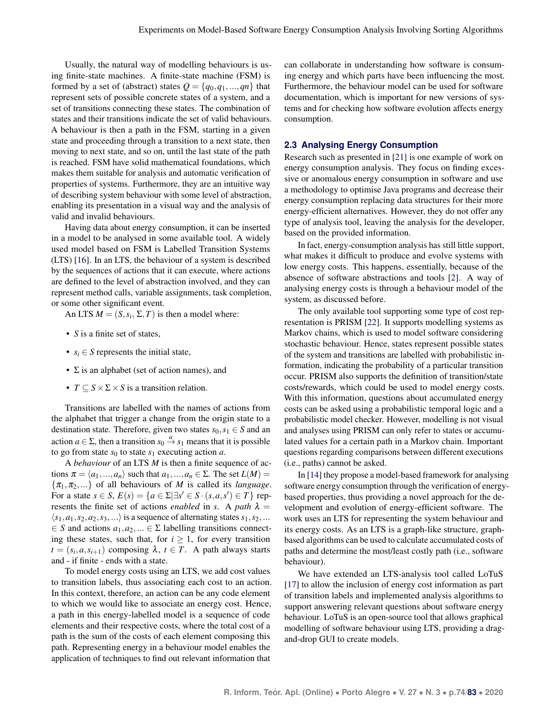Usually, the natural way of modelling behaviours is using finite-state machines. A finite-state machine (FSM) is formed by a set of (abstract) states  $Q = \{q_0, q_1, ..., q_n\}$  that represent sets of possible concrete states of a system, and a set of transitions connecting these states. The combination of states and their transitions indicate the set of valid behaviours. A behaviour is then a path in the FSM, starting in a given state and proceeding through a transition to a next state, then moving to next state, and so on, until the last state of the path is reached. FSM have solid mathematical foundations, which makes them suitable for analysis and automatic verification of properties of systems. Furthermore, they are an intuitive way of describing system behaviour with some level of abstraction, enabling its presentation in a visual way and the analysis of valid and invalid behaviours.

Having data about energy consumption, it can be inserted in a model to be analysed in some available tool. A widely used model based on FSM is Labelled Transition Systems (LTS) [\[16\]](#page-9-15). In an LTS, the behaviour of a system is described by the sequences of actions that it can execute, where actions are defined to the level of abstraction involved, and they can represent method calls, variable assignments, task completion, or some other significant event.

An LTS  $M = (S, s_i, \Sigma, T)$  is then a model where:

- *S* is a finite set of states,
- $s_i \in S$  represents the initial state,
- $\Sigma$  is an alphabet (set of action names), and
- $T \subset S \times \Sigma \times S$  is a transition relation.

Transitions are labelled with the names of actions from the alphabet that trigger a change from the origin state to a destination state. Therefore, given two states  $s_0, s_1 \in S$  and an action  $a \in \Sigma$ , then a transition  $s_0 \stackrel{a}{\rightarrow} s_1$  means that it is possible to go from state  $s_0$  to state  $s_1$  executing action *a*.

A *behaviour* of an LTS *M* is then a finite sequence of actions  $\pi = \langle a_1, ..., a_n \rangle$  such that  $a_1, ..., a_n \in \Sigma$ . The set  $L(M) =$  $\{\pi_1, \pi_2, ...\}$  of all behaviours of *M* is called its *language*. For a state  $s \in S$ ,  $E(s) = \{a \in \Sigma | \exists s' \in S \cdot (s, a, s') \in T\}$  represents the finite set of actions *enabled* in *s*. A path  $\lambda$  =  $\langle s_1, a_1, s_2, a_2, s_3, \ldots \rangle$  is a sequence of alternating states  $s_1, s_2, \ldots$  $\in S$  and actions  $a_1, a_2, \dots \in \Sigma$  labelling transitions connecting these states, such that, for  $i \geq 1$ , for every transition  $t = (s_i, a, s_{i+1})$  composing  $\lambda, t \in T$ . A path always starts and - if finite - ends with a state.

To model energy costs using an LTS, we add cost values to transition labels, thus associating each cost to an action. In this context, therefore, an action can be any code element to which we would like to associate an energy cost. Hence, a path in this energy-labelled model is a sequence of code elements and their respective costs, where the total cost of a path is the sum of the costs of each element composing this path. Representing energy in a behaviour model enables the application of techniques to find out relevant information that

can collaborate in understanding how software is consuming energy and which parts have been influencing the most. Furthermore, the behaviour model can be used for software documentation, which is important for new versions of systems and for checking how software evolution affects energy consumption.

#### **2.3 Analysing Energy Consumption**

Research such as presented in [\[21\]](#page-9-20) is one example of work on energy consumption analysis. They focus on finding excessive or anomalous energy consumption in software and use a methodology to optimise Java programs and decrease their energy consumption replacing data structures for their more energy-efficient alternatives. However, they do not offer any type of analysis tool, leaving the analysis for the developer, based on the provided information.

In fact, energy-consumption analysis has still little support, what makes it difficult to produce and evolve systems with low energy costs. This happens, essentially, because of the absence of software abstractions and tools [\[2\]](#page-9-1). A way of analysing energy costs is through a behaviour model of the system, as discussed before.

The only available tool supporting some type of cost representation is PRISM [\[22\]](#page-9-21). It supports modelling systems as Markov chains, which is used to model software considering stochastic behaviour. Hence, states represent possible states of the system and transitions are labelled with probabilistic information, indicating the probability of a particular transition occur. PRISM also supports the definition of transition/state costs/rewards, which could be used to model energy costs. With this information, questions about accumulated energy costs can be asked using a probabilistic temporal logic and a probabilistic model checker. However, modelling is not visual and analyses using PRISM can only refer to states or accumulated values for a certain path in a Markov chain. Important questions regarding comparisons between different executions (i.e., paths) cannot be asked.

In [\[14\]](#page-9-13) they propose a model-based framework for analysing software energy consumption through the verification of energybased properties, thus providing a novel approach for the development and evolution of energy-efficient software. The work uses an LTS for representing the system behaviour and its energy costs. As an LTS is a graph-like structure, graphbased algorithms can be used to calculate accumulated costs of paths and determine the most/least costly path (i.e., software behaviour).

<span id="page-2-0"></span>We have extended an LTS-analysis tool called LoTuS [\[17\]](#page-9-16) to allow the inclusion of energy cost information as part of transition labels and implemented analysis algorithms to support answering relevant questions about software energy behaviour. LoTuS is an open-source tool that allows graphical modelling of software behaviour using LTS, providing a dragand-drop GUI to create models.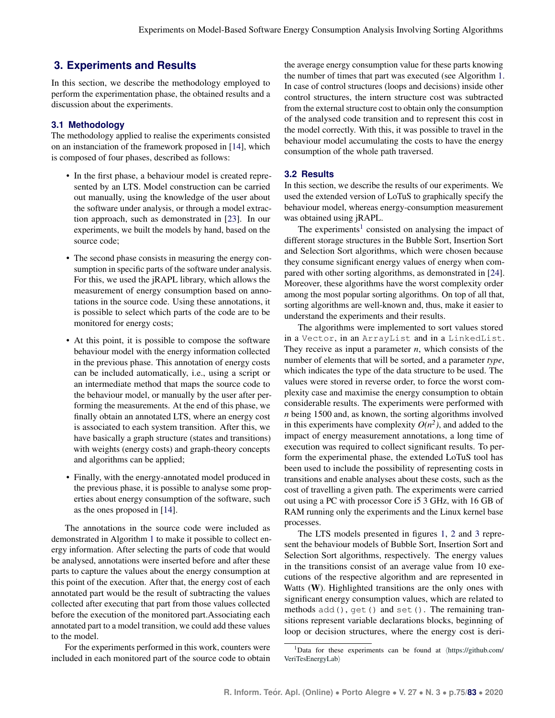# **3. Experiments and Results**

In this section, we describe the methodology employed to perform the experimentation phase, the obtained results and a discussion about the experiments.

## **3.1 Methodology**

The methodology applied to realise the experiments consisted on an instanciation of the framework proposed in [\[14\]](#page-9-13), which is composed of four phases, described as follows:

- In the first phase, a behaviour model is created represented by an LTS. Model construction can be carried out manually, using the knowledge of the user about the software under analysis, or through a model extraction approach, such as demonstrated in [\[23\]](#page-9-22). In our experiments, we built the models by hand, based on the source code;
- The second phase consists in measuring the energy consumption in specific parts of the software under analysis. For this, we used the jRAPL library, which allows the measurement of energy consumption based on annotations in the source code. Using these annotations, it is possible to select which parts of the code are to be monitored for energy costs;
- At this point, it is possible to compose the software behaviour model with the energy information collected in the previous phase. This annotation of energy costs can be included automatically, i.e., using a script or an intermediate method that maps the source code to the behaviour model, or manually by the user after performing the measurements. At the end of this phase, we finally obtain an annotated LTS, where an energy cost is associated to each system transition. After this, we have basically a graph structure (states and transitions) with weights (energy costs) and graph-theory concepts and algorithms can be applied;
- Finally, with the energy-annotated model produced in the previous phase, it is possible to analyse some properties about energy consumption of the software, such as the ones proposed in [\[14\]](#page-9-13).

The annotations in the source code were included as demonstrated in Algorithm [1](#page-4-0) to make it possible to collect energy information. After selecting the parts of code that would be analysed, annotations were inserted before and after these parts to capture the values about the energy consumption at this point of the execution. After that, the energy cost of each annotated part would be the result of subtracting the values collected after executing that part from those values collected before the execution of the monitored part.Associating each annotated part to a model transition, we could add these values to the model.

For the experiments performed in this work, counters were included in each monitored part of the source code to obtain

the average energy consumption value for these parts knowing the number of times that part was executed (see Algorithm [1.](#page-4-0) In case of control structures (loops and decisions) inside other control structures, the intern structure cost was subtracted from the external structure cost to obtain only the consumption of the analysed code transition and to represent this cost in the model correctly. With this, it was possible to travel in the behaviour model accumulating the costs to have the energy consumption of the whole path traversed.

# **3.2 Results**

In this section, we describe the results of our experiments. We used the extended version of LoTuS to graphically specify the behaviour model, whereas energy-consumption measurement was obtained using jRAPL.

The experiments<sup>[1](#page-0-0)</sup> consisted on analysing the impact of different storage structures in the Bubble Sort, Insertion Sort and Selection Sort algorithms, which were chosen because they consume significant energy values of energy when compared with other sorting algorithms, as demonstrated in [\[24\]](#page-9-23). Moreover, these algorithms have the worst complexity order among the most popular sorting algorithms. On top of all that, sorting algorithms are well-known and, thus, make it easier to understand the experiments and their results.

The algorithms were implemented to sort values stored in a Vector, in an ArrayList and in a LinkedList. They receive as input a parameter  $n$ , which consists of the number of elements that will be sorted, and a parameter *type*, which indicates the type of the data structure to be used. The values were stored in reverse order, to force the worst complexity case and maximise the energy consumption to obtain considerable results. The experiments were performed with *n* being 1500 and, as known, the sorting algorithms involved in this experiments have complexity  $O(n^2)$ , and added to the impact of energy measurement annotations, a long time of execution was required to collect significant results. To perform the experimental phase, the extended LoTuS tool has been used to include the possibility of representing costs in transitions and enable analyses about these costs, such as the cost of travelling a given path. The experiments were carried out using a PC with processor Core i5 3 GHz, with 16 GB of RAM running only the experiments and the Linux kernel base processes.

The LTS models presented in figures [1,](#page-5-1) [2](#page-6-0) and [3](#page-7-0) represent the behaviour models of Bubble Sort, Insertion Sort and Selection Sort algorithms, respectively. The energy values in the transitions consist of an average value from 10 executions of the respective algorithm and are represented in Watts (W). Highlighted transitions are the only ones with significant energy consumption values, which are related to methods add(), get() and set(). The remaining transitions represent variable declarations blocks, beginning of loop or decision structures, where the energy cost is deri-

<sup>&</sup>lt;sup>1</sup>Data for these experiments can be found at  $\langle\text{https://github.com/}$  $\langle\text{https://github.com/}$  $\langle\text{https://github.com/}$ [VeriTesEnergyLab](https://github.com/VeriTesEnergyLab)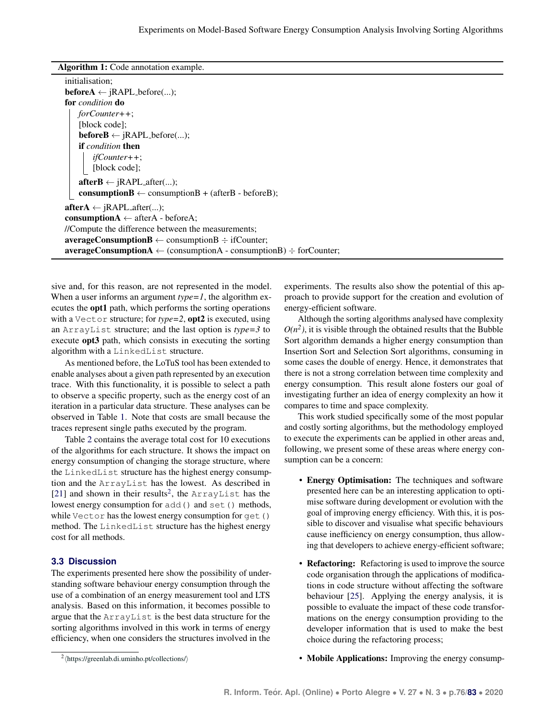Algorithm 1: Code annotation example.

| initialisation:                                                                           |  |
|-------------------------------------------------------------------------------------------|--|
| <b>before A</b> $\leftarrow$ jRAPL_before();                                              |  |
| for <i>condition</i> do                                                                   |  |
| $for Counter++;$                                                                          |  |
| [block code];                                                                             |  |
| <b>beforeB</b> $\leftarrow$ jRAPL_before();                                               |  |
| <b>if</b> condition then                                                                  |  |
| $ifCounter++;$                                                                            |  |
| [block code];                                                                             |  |
| $afterB \leftarrow jRAPL_after();$                                                        |  |
| <b>consumptionB</b> $\leftarrow$ consumptionB + (afterB - beforeB);                       |  |
| $\mathbf{afterA} \leftarrow \text{jRAPL}_{\text{after}}(\dots);$                          |  |
| <b>consumptionA</b> $\leftarrow$ afterA - beforeA;                                        |  |
| //Compute the difference between the measurements;                                        |  |
| $averageConsumptionB \leftarrow consumptionB \div ifCounter;$                             |  |
| <b>averageConsumptionA</b> $\leftarrow$ (consumptionA - consumptionB) $\div$ for Counter; |  |
|                                                                                           |  |

<span id="page-4-0"></span>sive and, for this reason, are not represented in the model. When a user informs an argument *type=1*, the algorithm executes the opt1 path, which performs the sorting operations with a Vector structure; for *type=2*, opt2 is executed, using an ArrayList structure; and the last option is *type=3* to execute opt3 path, which consists in executing the sorting algorithm with a LinkedList structure.

As mentioned before, the LoTuS tool has been extended to enable analyses about a given path represented by an execution trace. With this functionality, it is possible to select a path to observe a specific property, such as the energy cost of an iteration in a particular data structure. These analyses can be observed in Table [1.](#page-6-1) Note that costs are small because the traces represent single paths executed by the program.

Table [2](#page-8-1) contains the average total cost for 10 executions of the algorithms for each structure. It shows the impact on energy consumption of changing the storage structure, where the LinkedList structure has the highest energy consumption and the ArrayList has the lowest. As described in [\[21\]](#page-9-20) and shown in their results<sup>[2](#page-0-0)</sup>, the ArrayList has the lowest energy consumption for add() and set() methods, while Vector has the lowest energy consumption for get() method. The LinkedList structure has the highest energy cost for all methods.

#### **3.3 Discussion**

The experiments presented here show the possibility of understanding software behaviour energy consumption through the use of a combination of an energy measurement tool and LTS analysis. Based on this information, it becomes possible to argue that the ArrayList is the best data structure for the sorting algorithms involved in this work in terms of energy efficiency, when one considers the structures involved in the

experiments. The results also show the potential of this approach to provide support for the creation and evolution of energy-efficient software.

Although the sorting algorithms analysed have complexity  $O(n^2)$ , it is visible through the obtained results that the Bubble Sort algorithm demands a higher energy consumption than Insertion Sort and Selection Sort algorithms, consuming in some cases the double of energy. Hence, it demonstrates that there is not a strong correlation between time complexity and energy consumption. This result alone fosters our goal of investigating further an idea of energy complexity an how it compares to time and space complexity.

This work studied specifically some of the most popular and costly sorting algorithms, but the methodology employed to execute the experiments can be applied in other areas and, following, we present some of these areas where energy consumption can be a concern:

- Energy Optimisation: The techniques and software presented here can be an interesting application to optimise software during development or evolution with the goal of improving energy efficiency. With this, it is possible to discover and visualise what specific behaviours cause inefficiency on energy consumption, thus allowing that developers to achieve energy-efficient software;
- Refactoring: Refactoring is used to improve the source code organisation through the applications of modifications in code structure without affecting the software behaviour [\[25\]](#page-10-0). Applying the energy analysis, it is possible to evaluate the impact of these code transformations on the energy consumption providing to the developer information that is used to make the best choice during the refactoring process;
- Mobile Applications: Improving the energy consump-

 $2 \langle$ <https://greenlab.di.uminho.pt/collections/> $\rangle$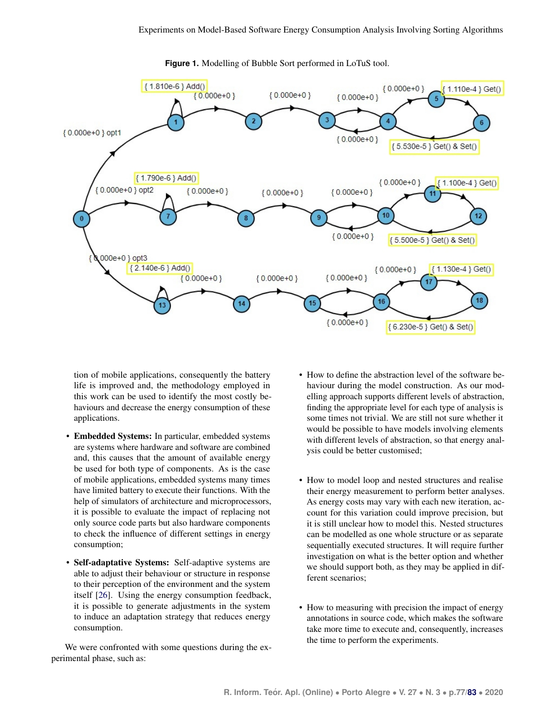<span id="page-5-1"></span>

**Figure 1.** Modelling of Bubble Sort performed in LoTuS tool.

tion of mobile applications, consequently the battery life is improved and, the methodology employed in this work can be used to identify the most costly behaviours and decrease the energy consumption of these applications.

- Embedded Systems: In particular, embedded systems are systems where hardware and software are combined and, this causes that the amount of available energy be used for both type of components. As is the case of mobile applications, embedded systems many times have limited battery to execute their functions. With the help of simulators of architecture and microprocessors, it is possible to evaluate the impact of replacing not only source code parts but also hardware components to check the influence of different settings in energy consumption;
- Self-adaptative Systems: Self-adaptive systems are able to adjust their behaviour or structure in response to their perception of the environment and the system itself [\[26\]](#page-10-1). Using the energy consumption feedback, it is possible to generate adjustments in the system to induce an adaptation strategy that reduces energy consumption.

We were confronted with some questions during the experimental phase, such as:

- How to define the abstraction level of the software behaviour during the model construction. As our modelling approach supports different levels of abstraction, finding the appropriate level for each type of analysis is some times not trivial. We are still not sure whether it would be possible to have models involving elements with different levels of abstraction, so that energy analysis could be better customised;
- How to model loop and nested structures and realise their energy measurement to perform better analyses. As energy costs may vary with each new iteration, account for this variation could improve precision, but it is still unclear how to model this. Nested structures can be modelled as one whole structure or as separate sequentially executed structures. It will require further investigation on what is the better option and whether we should support both, as they may be applied in different scenarios;
- <span id="page-5-0"></span>• How to measuring with precision the impact of energy annotations in source code, which makes the software take more time to execute and, consequently, increases the time to perform the experiments.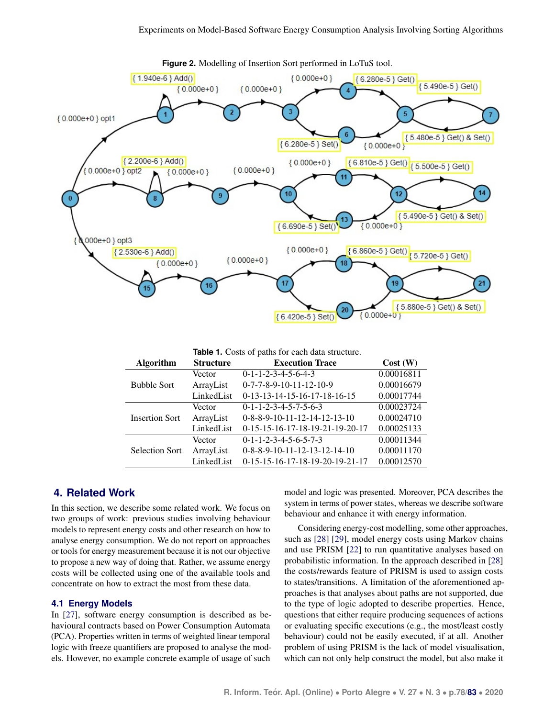<span id="page-6-0"></span>

**Figure 2.** Modelling of Insertion Sort performed in LoTuS tool.

**Table 1.** Costs of paths for each data structure.

<span id="page-6-1"></span>

| <b>Algorithm</b>      | <b>Structure</b> | <b>Execution Trace</b>                      | Cost(W)    |
|-----------------------|------------------|---------------------------------------------|------------|
| <b>Bubble Sort</b>    | Vector           | $0-1-1-2-3-4-5-6-4-3$                       | 0.00016811 |
|                       | ArrayList        | $0 - 7 - 7 - 8 - 9 - 10 - 11 - 12 - 10 - 9$ | 0.00016679 |
|                       | LinkedList       | $0-13-13-14-15-16-17-18-16-15$              | 0.00017744 |
| <b>Insertion Sort</b> | Vector           | $0-1-1-2-3-4-5-7-5-6-3$                     | 0.00023724 |
|                       | ArrayList        | $0-8-8-9-10-11-12-14-12-13-10$              | 0.00024710 |
|                       | LinkedList       | 0-15-15-16-17-18-19-21-19-20-17             | 0.00025133 |
| <b>Selection Sort</b> | Vector           | $0-1-1-2-3-4-5-6-5-7-3$                     | 0.00011344 |
|                       | ArrayList        | $0-8-8-9-10-11-12-13-12-14-10$              | 0.00011170 |
|                       | LinkedList       | 0-15-15-16-17-18-19-20-19-21-17             | 0.00012570 |

# **4. Related Work**

In this section, we describe some related work. We focus on two groups of work: previous studies involving behaviour models to represent energy costs and other research on how to analyse energy consumption. We do not report on approaches or tools for energy measurement because it is not our objective to propose a new way of doing that. Rather, we assume energy costs will be collected using one of the available tools and concentrate on how to extract the most from these data.

#### **4.1 Energy Models**

In [\[27\]](#page-10-2), software energy consumption is described as behavioural contracts based on Power Consumption Automata (PCA). Properties written in terms of weighted linear temporal logic with freeze quantifiers are proposed to analyse the models. However, no example concrete example of usage of such

model and logic was presented. Moreover, PCA describes the system in terms of power states, whereas we describe software behaviour and enhance it with energy information.

Considering energy-cost modelling, some other approaches, such as [\[28\]](#page-10-3) [\[29\]](#page-10-4), model energy costs using Markov chains and use PRISM [\[22\]](#page-9-21) to run quantitative analyses based on probabilistic information. In the approach described in [\[28\]](#page-10-3) the costs/rewards feature of PRISM is used to assign costs to states/transitions. A limitation of the aforementioned approaches is that analyses about paths are not supported, due to the type of logic adopted to describe properties. Hence, questions that either require producing sequences of actions or evaluating specific executions (e.g., the most/least costly behaviour) could not be easily executed, if at all. Another problem of using PRISM is the lack of model visualisation, which can not only help construct the model, but also make it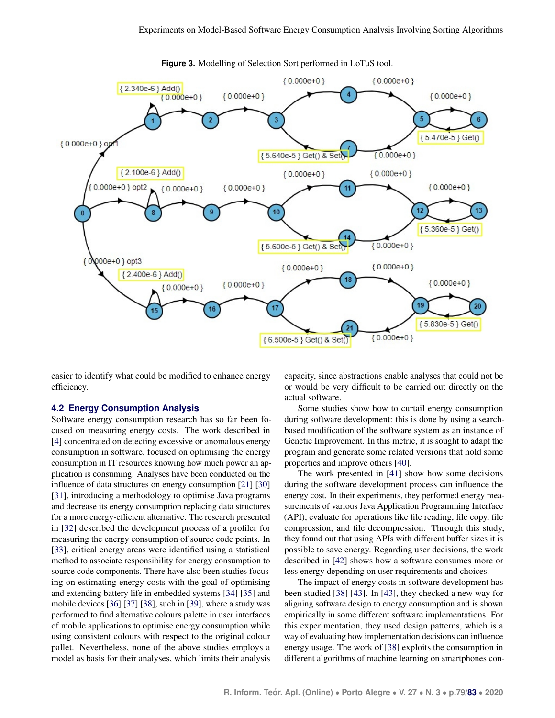<span id="page-7-0"></span>

**Figure 3.** Modelling of Selection Sort performed in LoTuS tool.

easier to identify what could be modified to enhance energy efficiency.

#### **4.2 Energy Consumption Analysis**

Software energy consumption research has so far been focused on measuring energy costs. The work described in [\[4\]](#page-9-3) concentrated on detecting excessive or anomalous energy consumption in software, focused on optimising the energy consumption in IT resources knowing how much power an application is consuming. Analyses have been conducted on the influence of data structures on energy consumption [\[21\]](#page-9-20) [\[30\]](#page-10-5) [\[31\]](#page-10-6), introducing a methodology to optimise Java programs and decrease its energy consumption replacing data structures for a more energy-efficient alternative. The research presented in [\[32\]](#page-10-7) described the development process of a profiler for measuring the energy consumption of source code points. In [\[33\]](#page-10-8), critical energy areas were identified using a statistical method to associate responsibility for energy consumption to source code components. There have also been studies focusing on estimating energy costs with the goal of optimising and extending battery life in embedded systems [\[34\]](#page-10-9) [\[35\]](#page-10-10) and mobile devices [\[36\]](#page-10-11) [\[37\]](#page-10-12) [\[38\]](#page-10-13), such in [\[39\]](#page-10-14), where a study was performed to find alternative colours palette in user interfaces of mobile applications to optimise energy consumption while using consistent colours with respect to the original colour pallet. Nevertheless, none of the above studies employs a model as basis for their analyses, which limits their analysis

capacity, since abstractions enable analyses that could not be or would be very difficult to be carried out directly on the actual software.

Some studies show how to curtail energy consumption during software development: this is done by using a searchbased modification of the software system as an instance of Genetic Improvement. In this metric, it is sought to adapt the program and generate some related versions that hold some properties and improve others [\[40\]](#page-10-15).

The work presented in [\[41\]](#page-10-16) show how some decisions during the software development process can influence the energy cost. In their experiments, they performed energy measurements of various Java Application Programming Interface (API), evaluate for operations like file reading, file copy, file compression, and file decompression. Through this study, they found out that using APIs with different buffer sizes it is possible to save energy. Regarding user decisions, the work described in [\[42\]](#page-10-17) shows how a software consumes more or less energy depending on user requirements and choices.

The impact of energy costs in software development has been studied [\[38\]](#page-10-13) [\[43\]](#page-10-18). In [\[43\]](#page-10-18), they checked a new way for aligning software design to energy consumption and is shown empirically in some different software implementations. For this experimentation, they used design patterns, which is a way of evaluating how implementation decisions can influence energy usage. The work of [\[38\]](#page-10-13) exploits the consumption in different algorithms of machine learning on smartphones con-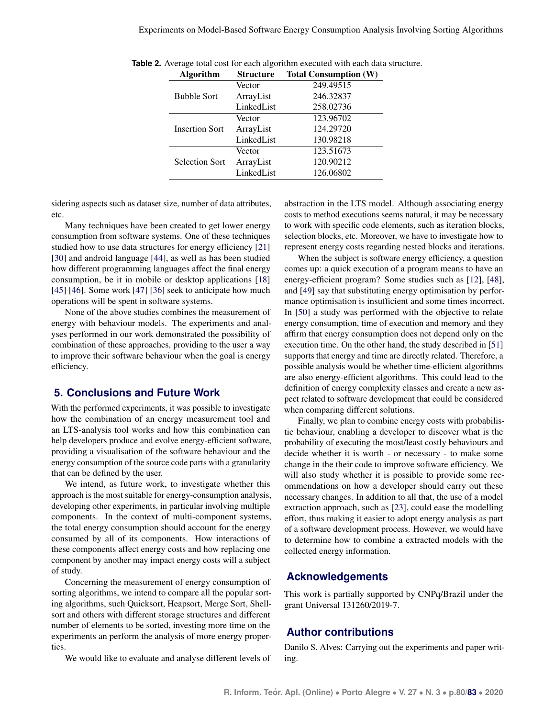| <b>Algorithm</b>      | <b>Structure</b> | <b>Total Consumption (W)</b> |
|-----------------------|------------------|------------------------------|
|                       | Vector           | $249.495\overline{15}$       |
| <b>Bubble Sort</b>    | ArrayList        | 246.32837                    |
|                       | LinkedList       | 258.02736                    |
|                       | Vector           | 123.96702                    |
| <b>Insertion Sort</b> | ArrayList        | 124.29720                    |
|                       | LinkedList       | 130.98218                    |
|                       | Vector           | 123.51673                    |
| <b>Selection Sort</b> | ArrayList        | 120.90212                    |
|                       | LinkedList       | 126.06802                    |

<span id="page-8-1"></span>**Table 2.** Average total cost for each algorithm executed with each data structure.

sidering aspects such as dataset size, number of data attributes, etc.

Many techniques have been created to get lower energy consumption from software systems. One of these techniques studied how to use data structures for energy efficiency [\[21\]](#page-9-20) [\[30\]](#page-10-5) and android language [\[44\]](#page-10-19), as well as has been studied how different programming languages affect the final energy consumption, be it in mobile or desktop applications [\[18\]](#page-9-17) [\[45\]](#page-10-20) [\[46\]](#page-10-21). Some work [\[47\]](#page-10-22) [\[36\]](#page-10-11) seek to anticipate how much operations will be spent in software systems.

None of the above studies combines the measurement of energy with behaviour models. The experiments and analyses performed in our work demonstrated the possibility of combination of these approaches, providing to the user a way to improve their software behaviour when the goal is energy efficiency.

# <span id="page-8-0"></span>**5. Conclusions and Future Work**

With the performed experiments, it was possible to investigate how the combination of an energy measurement tool and an LTS-analysis tool works and how this combination can help developers produce and evolve energy-efficient software, providing a visualisation of the software behaviour and the energy consumption of the source code parts with a granularity that can be defined by the user.

We intend, as future work, to investigate whether this approach is the most suitable for energy-consumption analysis, developing other experiments, in particular involving multiple components. In the context of multi-component systems, the total energy consumption should account for the energy consumed by all of its components. How interactions of these components affect energy costs and how replacing one component by another may impact energy costs will a subject of study.

Concerning the measurement of energy consumption of sorting algorithms, we intend to compare all the popular sorting algorithms, such Quicksort, Heapsort, Merge Sort, Shellsort and others with different storage structures and different number of elements to be sorted, investing more time on the experiments an perform the analysis of more energy properties.

We would like to evaluate and analyse different levels of

abstraction in the LTS model. Although associating energy costs to method executions seems natural, it may be necessary to work with specific code elements, such as iteration blocks, selection blocks, etc. Moreover, we have to investigate how to represent energy costs regarding nested blocks and iterations.

When the subject is software energy efficiency, a question comes up: a quick execution of a program means to have an energy-efficient program? Some studies such as [\[12\]](#page-9-11), [\[48\]](#page-10-23), and [\[49\]](#page-11-1) say that substituting energy optimisation by performance optimisation is insufficient and some times incorrect. In [\[50\]](#page-11-2) a study was performed with the objective to relate energy consumption, time of execution and memory and they affirm that energy consumption does not depend only on the execution time. On the other hand, the study described in [\[51\]](#page-11-3) supports that energy and time are directly related. Therefore, a possible analysis would be whether time-efficient algorithms are also energy-efficient algorithms. This could lead to the definition of energy complexity classes and create a new aspect related to software development that could be considered when comparing different solutions.

Finally, we plan to combine energy costs with probabilistic behaviour, enabling a developer to discover what is the probability of executing the most/least costly behaviours and decide whether it is worth - or necessary - to make some change in the their code to improve software efficiency. We will also study whether it is possible to provide some recommendations on how a developer should carry out these necessary changes. In addition to all that, the use of a model extraction approach, such as [\[23\]](#page-9-22), could ease the modelling effort, thus making it easier to adopt energy analysis as part of a software development process. However, we would have to determine how to combine a extracted models with the collected energy information.

## **Acknowledgements**

This work is partially supported by CNPq/Brazil under the grant Universal 131260/2019-7.

# **Author contributions**

Danilo S. Alves: Carrying out the experiments and paper writing.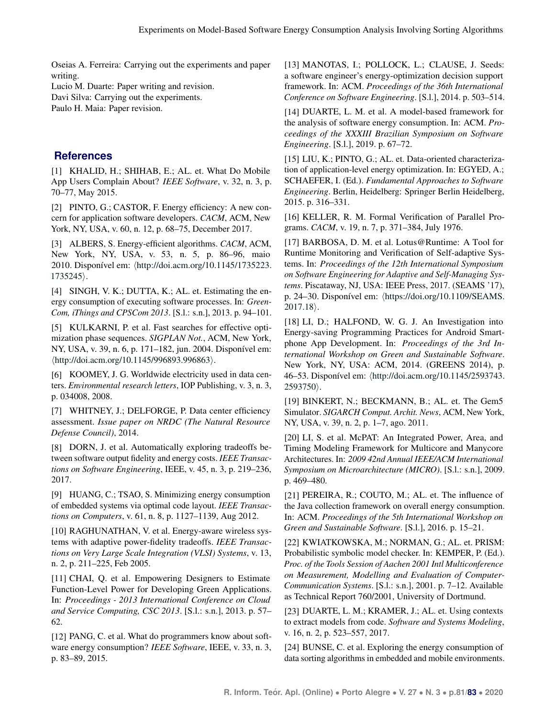Oseias A. Ferreira: Carrying out the experiments and paper writing.

Lucio M. Duarte: Paper writing and revision.

Davi Silva: Carrying out the experiments.

Paulo H. Maia: Paper revision.

# **References**

<span id="page-9-0"></span>[1] KHALID, H.; SHIHAB, E.; AL. et. What Do Mobile App Users Complain About? *IEEE Software*, v. 32, n. 3, p. 70–77, May 2015.

<span id="page-9-1"></span>[2] PINTO, G.; CASTOR, F. Energy efficiency: A new concern for application software developers. *CACM*, ACM, New York, NY, USA, v. 60, n. 12, p. 68–75, December 2017.

<span id="page-9-2"></span>[3] ALBERS, S. Energy-efficient algorithms. *CACM*, ACM, New York, NY, USA, v. 53, n. 5, p. 86–96, maio 2010. Disponível em:  $\langle$ [http://doi.acm.org/10.1145/1735223.](http://doi.acm.org/10.1145/1735223.1735245)  $1735245$ .

<span id="page-9-3"></span>[4] SINGH, V. K.; DUTTA, K.; AL. et. Estimating the energy consumption of executing software processes. In: *Green-Com, iThings and CPSCom 2013*. [S.l.: s.n.], 2013. p. 94–101.

<span id="page-9-4"></span>[5] KULKARNI, P. et al. Fast searches for effective optimization phase sequences. *SIGPLAN Not.*, ACM, New York, NY, USA, v. 39, n. 6, p. 171–182, jun. 2004. Disponível em:  $\langle$ <http://doi.acm.org/10.1145/996893.996863> $\rangle$ .

<span id="page-9-5"></span>[6] KOOMEY, J. G. Worldwide electricity used in data centers. *Environmental research letters*, IOP Publishing, v. 3, n. 3, p. 034008, 2008.

<span id="page-9-6"></span>[7] WHITNEY, J.; DELFORGE, P. Data center efficiency assessment. *Issue paper on NRDC (The Natural Resource Defense Council)*, 2014.

<span id="page-9-7"></span>[8] DORN, J. et al. Automatically exploring tradeoffs between software output fidelity and energy costs. *IEEE Transactions on Software Engineering*, IEEE, v. 45, n. 3, p. 219–236, 2017.

<span id="page-9-8"></span>[9] HUANG, C.; TSAO, S. Minimizing energy consumption of embedded systems via optimal code layout. *IEEE Transactions on Computers*, v. 61, n. 8, p. 1127–1139, Aug 2012.

<span id="page-9-9"></span>[10] RAGHUNATHAN, V. et al. Energy-aware wireless systems with adaptive power-fidelity tradeoffs. *IEEE Transactions on Very Large Scale Integration (VLSI) Systems*, v. 13, n. 2, p. 211–225, Feb 2005.

<span id="page-9-10"></span>[11] CHAI, Q. et al. Empowering Designers to Estimate Function-Level Power for Developing Green Applications. In: *Proceedings - 2013 International Conference on Cloud and Service Computing, CSC 2013*. [S.l.: s.n.], 2013. p. 57– 62.

<span id="page-9-11"></span>[12] PANG, C. et al. What do programmers know about software energy consumption? *IEEE Software*, IEEE, v. 33, n. 3, p. 83–89, 2015.

<span id="page-9-12"></span>[13] MANOTAS, I.; POLLOCK, L.; CLAUSE, J. Seeds: a software engineer's energy-optimization decision support framework. In: ACM. *Proceedings of the 36th International Conference on Software Engineering*. [S.l.], 2014. p. 503–514.

<span id="page-9-13"></span>[14] DUARTE, L. M. et al. A model-based framework for the analysis of software energy consumption. In: ACM. *Proceedings of the XXXIII Brazilian Symposium on Software Engineering*. [S.l.], 2019. p. 67–72.

<span id="page-9-14"></span>[15] LIU, K.; PINTO, G.; AL. et. Data-oriented characterization of application-level energy optimization. In: EGYED, A.; SCHAEFER, I. (Ed.). *Fundamental Approaches to Software Engineering*. Berlin, Heidelberg: Springer Berlin Heidelberg, 2015. p. 316–331.

<span id="page-9-15"></span>[16] KELLER, R. M. Formal Verification of Parallel Programs. *CACM*, v. 19, n. 7, p. 371–384, July 1976.

<span id="page-9-16"></span>[17] BARBOSA, D. M. et al. Lotus@Runtime: A Tool for Runtime Monitoring and Verification of Self-adaptive Systems. In: *Proceedings of the 12th International Symposium on Software Engineering for Adaptive and Self-Managing Systems*. Piscataway, NJ, USA: IEEE Press, 2017. (SEAMS '17), p. 24–30. Disponível em:  $\langle$ [https://doi.org/10.1109/SEAMS.](https://doi.org/10.1109/SEAMS.2017.18)  $2017.18$ .

<span id="page-9-17"></span>[18] LI, D.; HALFOND, W. G. J. An Investigation into Energy-saving Programming Practices for Android Smartphone App Development. In: *Proceedings of the 3rd International Workshop on Green and Sustainable Software*. New York, NY, USA: ACM, 2014. (GREENS 2014), p. 46–53. Disponível em:  $\langle$ [http://doi.acm.org/10.1145/2593743.](http://doi.acm.org/10.1145/2593743.2593750)  $2593750$ .

<span id="page-9-18"></span>[19] BINKERT, N.; BECKMANN, B.; AL. et. The Gem5 Simulator. *SIGARCH Comput. Archit. News*, ACM, New York, NY, USA, v. 39, n. 2, p. 1–7, ago. 2011.

<span id="page-9-19"></span>[20] LI, S. et al. McPAT: An Integrated Power, Area, and Timing Modeling Framework for Multicore and Manycore Architectures. In: *2009 42nd Annual IEEE/ACM International Symposium on Microarchitecture (MICRO)*. [S.l.: s.n.], 2009. p. 469–480.

<span id="page-9-20"></span>[21] PEREIRA, R.; COUTO, M.; AL. et. The influence of the Java collection framework on overall energy consumption. In: ACM. *Proceedings of the 5th International Workshop on Green and Sustainable Software*. [S.l.], 2016. p. 15–21.

<span id="page-9-21"></span>[22] KWIATKOWSKA, M.; NORMAN, G.; AL. et. PRISM: Probabilistic symbolic model checker. In: KEMPER, P. (Ed.). *Proc. of the Tools Session of Aachen 2001 Intl Multiconference on Measurement, Modelling and Evaluation of Computer-Communication Systems*. [S.l.: s.n.], 2001. p. 7–12. Available as Technical Report 760/2001, University of Dortmund.

<span id="page-9-22"></span>[23] DUARTE, L. M.; KRAMER, J.; AL. et. Using contexts to extract models from code. *Software and Systems Modeling*, v. 16, n. 2, p. 523–557, 2017.

<span id="page-9-23"></span>[24] BUNSE, C. et al. Exploring the energy consumption of data sorting algorithms in embedded and mobile environments.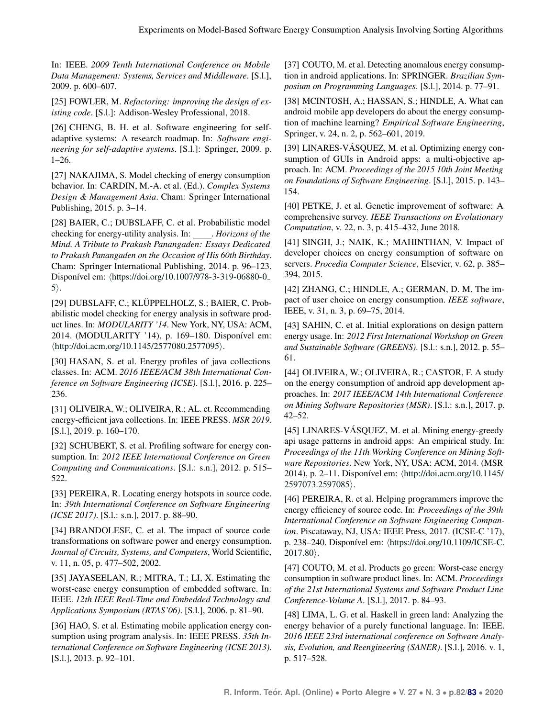In: IEEE. *2009 Tenth International Conference on Mobile Data Management: Systems, Services and Middleware*. [S.l.], 2009. p. 600–607.

<span id="page-10-0"></span>[25] FOWLER, M. *Refactoring: improving the design of existing code*. [S.l.]: Addison-Wesley Professional, 2018.

<span id="page-10-1"></span>[26] CHENG, B. H. et al. Software engineering for selfadaptive systems: A research roadmap. In: *Software engineering for self-adaptive systems*. [S.l.]: Springer, 2009. p. 1–26.

<span id="page-10-2"></span>[27] NAKAJIMA, S. Model checking of energy consumption behavior. In: CARDIN, M.-A. et al. (Ed.). *Complex Systems Design & Management Asia*. Cham: Springer International Publishing, 2015. p. 3–14.

<span id="page-10-3"></span>[28] BAIER, C.; DUBSLAFF, C. et al. Probabilistic model checking for energy-utility analysis. In: *<i>Horizons of the Mind. A Tribute to Prakash Panangaden: Essays Dedicated to Prakash Panangaden on the Occasion of His 60th Birthday*. Cham: Springer International Publishing, 2014. p. 96–123. Disponível em:  $\langle$ [https://doi.org/10.1007/978-3-319-06880-0](https://doi.org/10.1007/978-3-319-06880-0_5)  $5$ .

<span id="page-10-4"></span>[29] DUBSLAFF, C.; KLÜPPELHOLZ, S.; BAIER, C. Probabilistic model checking for energy analysis in software product lines. In: *MODULARITY '14*. New York, NY, USA: ACM, 2014. (MODULARITY '14), p. 169-180. Disponível em:  $\langle$ <http://doi.acm.org/10.1145/2577080.2577095> $\rangle$ .

<span id="page-10-5"></span>[30] HASAN, S. et al. Energy profiles of java collections classes. In: ACM. *2016 IEEE/ACM 38th International Conference on Software Engineering (ICSE)*. [S.l.], 2016. p. 225– 236.

<span id="page-10-6"></span>[31] OLIVEIRA, W.; OLIVEIRA, R.; AL. et. Recommending energy-efficient java collections. In: IEEE PRESS. *MSR 2019*. [S.l.], 2019. p. 160–170.

<span id="page-10-7"></span>[32] SCHUBERT, S. et al. Profiling software for energy consumption. In: *2012 IEEE International Conference on Green Computing and Communications*. [S.l.: s.n.], 2012. p. 515– 522.

<span id="page-10-8"></span>[33] PEREIRA, R. Locating energy hotspots in source code. In: *39th International Conference on Software Engineering (ICSE 2017)*. [S.l.: s.n.], 2017. p. 88–90.

<span id="page-10-9"></span>[34] BRANDOLESE, C. et al. The impact of source code transformations on software power and energy consumption. *Journal of Circuits, Systems, and Computers*, World Scientific, v. 11, n. 05, p. 477–502, 2002.

<span id="page-10-10"></span>[35] JAYASEELAN, R.; MITRA, T.; LI, X. Estimating the worst-case energy consumption of embedded software. In: IEEE. *12th IEEE Real-Time and Embedded Technology and Applications Symposium (RTAS'06)*. [S.l.], 2006. p. 81–90.

<span id="page-10-11"></span>[36] HAO, S. et al. Estimating mobile application energy consumption using program analysis. In: IEEE PRESS. *35th International Conference on Software Engineering (ICSE 2013)*. [S.l.], 2013. p. 92-101.

<span id="page-10-12"></span>[37] COUTO, M. et al. Detecting anomalous energy consumption in android applications. In: SPRINGER. *Brazilian Symposium on Programming Languages*. [S.l.], 2014. p. 77–91.

<span id="page-10-13"></span>[38] MCINTOSH, A.; HASSAN, S.; HINDLE, A. What can android mobile app developers do about the energy consumption of machine learning? *Empirical Software Engineering*, Springer, v. 24, n. 2, p. 562–601, 2019.

<span id="page-10-14"></span>[39] LINARES-VÁSQUEZ, M. et al. Optimizing energy consumption of GUIs in Android apps: a multi-objective approach. In: ACM. *Proceedings of the 2015 10th Joint Meeting on Foundations of Software Engineering*. [S.l.], 2015. p. 143– 154.

<span id="page-10-15"></span>[40] PETKE, J. et al. Genetic improvement of software: A comprehensive survey. *IEEE Transactions on Evolutionary Computation*, v. 22, n. 3, p. 415–432, June 2018.

<span id="page-10-16"></span>[41] SINGH, J.; NAIK, K.; MAHINTHAN, V. Impact of developer choices on energy consumption of software on servers. *Procedia Computer Science*, Elsevier, v. 62, p. 385– 394, 2015.

<span id="page-10-17"></span>[42] ZHANG, C.; HINDLE, A.; GERMAN, D. M. The impact of user choice on energy consumption. *IEEE software*, IEEE, v. 31, n. 3, p. 69–75, 2014.

<span id="page-10-18"></span>[43] SAHIN, C. et al. Initial explorations on design pattern energy usage. In: *2012 First International Workshop on Green and Sustainable Software (GREENS)*. [S.l.: s.n.], 2012. p. 55– 61.

<span id="page-10-19"></span>[44] OLIVEIRA, W.; OLIVEIRA, R.; CASTOR, F. A study on the energy consumption of android app development approaches. In: *2017 IEEE/ACM 14th International Conference on Mining Software Repositories (MSR)*. [S.l.: s.n.], 2017. p. 42–52.

<span id="page-10-20"></span>[45] LINARES-VÁSQUEZ, M. et al. Mining energy-greedy api usage patterns in android apps: An empirical study. In: *Proceedings of the 11th Working Conference on Mining Software Repositories*. New York, NY, USA: ACM, 2014. (MSR 2014), p. 2–11. Disponível em:  $\frac{\text{http://doi.acm.org/10.1145/}}{10.1145}$  $\frac{\text{http://doi.acm.org/10.1145/}}{10.1145}$  $\frac{\text{http://doi.acm.org/10.1145/}}{10.1145}$ [2597073.2597085](http://doi.acm.org/10.1145/2597073.2597085)).

<span id="page-10-21"></span>[46] PEREIRA, R. et al. Helping programmers improve the energy efficiency of source code. In: *Proceedings of the 39th International Conference on Software Engineering Companion*. Piscataway, NJ, USA: IEEE Press, 2017. (ICSE-C '17), p. 238–240. Disponível em:  $\langle$ [https://doi.org/10.1109/ICSE-C.](https://doi.org/10.1109/ICSE-C.2017.80)  $2017.80$ .

<span id="page-10-22"></span>[47] COUTO, M. et al. Products go green: Worst-case energy consumption in software product lines. In: ACM. *Proceedings of the 21st International Systems and Software Product Line Conference-Volume A*. [S.l.], 2017. p. 84–93.

<span id="page-10-23"></span>[48] LIMA, L. G. et al. Haskell in green land: Analyzing the energy behavior of a purely functional language. In: IEEE. *2016 IEEE 23rd international conference on Software Analysis, Evolution, and Reengineering (SANER)*. [S.l.], 2016. v. 1, p. 517–528.